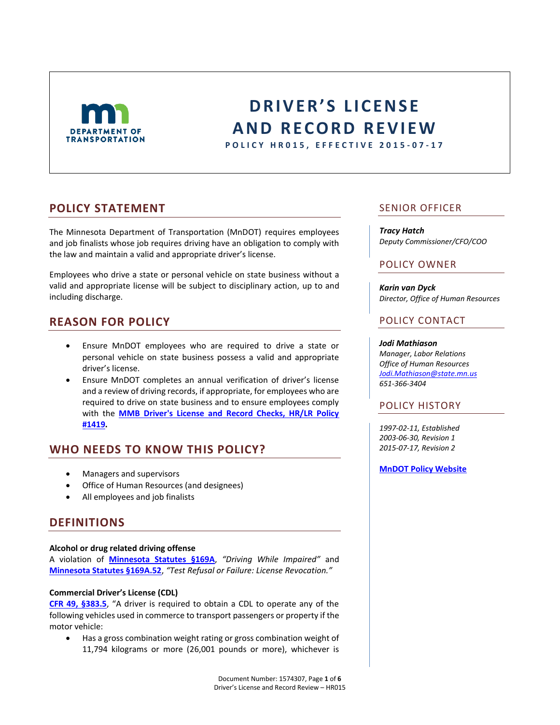

# **DRIVER'S LICENSE A N D R E C O R D R E V I E W**

**P O L I C Y H R 0 1 5 , E F F E C T I V E 2015 - 0 7 - 1 7**

## **POLICY STATEMENT**

The Minnesota Department of Transportation (MnDOT) requires employees and job finalists whose job requires driving have an obligation to comply with the law and maintain a valid and appropriate driver's license.

Employees who drive a state or personal vehicle on state business without a valid and appropriate license will be subject to disciplinary action, up to and including discharge.

# **REASON FOR POLICY**

- Ensure MnDOT employees who are required to drive a state or personal vehicle on state business possess a valid and appropriate driver's license.
- Ensure MnDOT completes an annual verification of driver's license and a review of driving records, if appropriate, for employees who are required to drive on state business and to ensure employees comply with the **[MMB Driver's License and Record Checks, HR/LR Policy](https://mn.gov/mmb/assets/dlrecord-check-1419_tcm1059-127209.pdf)  [#1419](https://mn.gov/mmb/assets/dlrecord-check-1419_tcm1059-127209.pdf).**

# **WHO NEEDS TO KNOW THIS POLICY?**

- Managers and supervisors
- Office of Human Resources (and designees)
- All employees and job finalists

# **DEFINITIONS**

#### **Alcohol or drug related driving offense**

A violation of **[Minnesota Statutes §169A](https://www.revisor.mn.gov/statutes/?id=169A)**, *"Driving While Impaired"* and **[Minnesota Statutes §169A.52](https://www.revisor.mn.gov/statutes/?id=169a.52)**, *"Test Refusal or Failure: License Revocation."*

#### **Commercial Driver's License (CDL)**

**[CFR 49, §383.5](http://www.fmcsa.dot.gov/regulations/title49/section/383.5)**, "A driver is required to obtain a CDL to operate any of the following vehicles used in commerce to transport passengers or property if the motor vehicle:

 Has a gross combination weight rating or gross combination weight of 11,794 kilograms or more (26,001 pounds or more), whichever is

## SENIOR OFFICER

#### *Tracy Hatch*

*Deputy Commissioner/CFO/COO*

## POLICY OWNER

*Karin van Dyck Director, Office of Human Resources*

### POLICY CONTACT

#### *Jodi Mathiason*

*Manager, Labor Relations Office of Human Resources [Jodi.Mathiason@state.mn.us](mailto:Jodi.mathiason@state.mn.us) 651-366-3404*

## POLICY HISTORY

*1997-02-11, Established 2003-06-30, Revision 1 2015-07-17, Revision 2*

**[MnDOT Policy Website](http://www.dot.state.mn.us/policy/index.html)**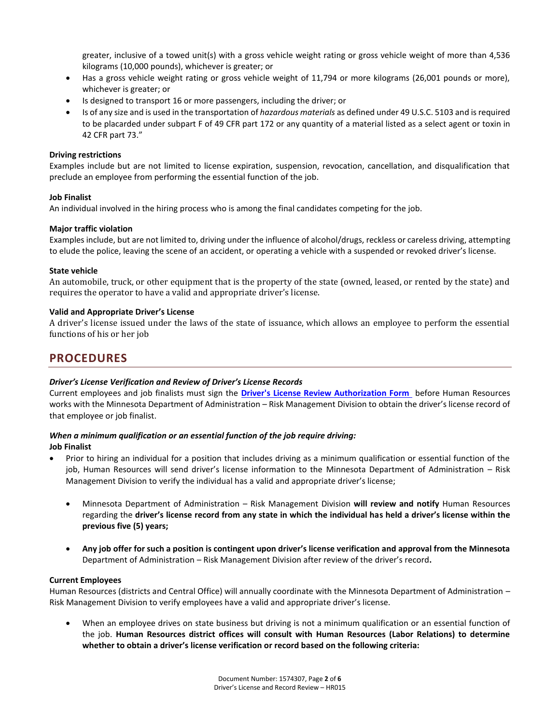greater, inclusive of a towed unit(s) with a gross vehicle weight rating or gross vehicle weight of more than 4,536 kilograms (10,000 pounds), whichever is greater; or

- Has a gross vehicle weight rating or gross vehicle weight of 11,794 or more kilograms (26,001 pounds or more), whichever is greater; or
- Is designed to transport 16 or more passengers, including the driver; or
- Is of any size and is used in the transportation of *hazardous materials* as defined under 49 U.S.C. 5103 and is required to be placarded under subpart F of 49 CFR part 172 or any quantity of a material listed as a select agent or toxin in 42 CFR part 73."

#### **Driving restrictions**

Examples include but are not limited to license expiration, suspension, revocation, cancellation, and disqualification that preclude an employee from performing the essential function of the job.

#### **Job Finalist**

An individual involved in the hiring process who is among the final candidates competing for the job.

#### **Major traffic violation**

Examples include, but are not limited to, driving under the influence of alcohol/drugs, reckless or careless driving, attempting to elude the police, leaving the scene of an accident, or operating a vehicle with a suspended or revoked driver's license.

#### **State vehicle**

An automobile, truck, or other equipment that is the property of the state (owned, leased, or rented by the state) and requires the operator to have a valid and appropriate driver's license.

#### **Valid and Appropriate Driver's License**

A driver's license issued under the laws of the state of issuance, which allows an employee to perform the essential functions of his or her job

# **PROCEDURES**

#### *Driver's License Verification and Review of Driver's License Records*

Current employees and job finalists must sign the **[Driver's License Review Authorization Form](http://edocs/eDIGS/DMResultSet/download?docid=1614131)** before Human Resources works with the Minnesota Department of Administration – Risk Management Division to obtain the driver's license record of that employee or job finalist.

#### *When a minimum qualification or an essential function of the job require driving:* **Job Finalist**

- Prior to hiring an individual for a position that includes driving as a minimum qualification or essential function of the job, Human Resources will send driver's license information to the Minnesota Department of Administration – Risk Management Division to verify the individual has a valid and appropriate driver's license;
	- Minnesota Department of Administration Risk Management Division **will review and notify** Human Resources regarding the **driver's license record from any state in which the individual has held a driver's license within the previous five (5) years;**
	- **Any job offer for such a position is contingent upon driver's license verification and approval from the Minnesota**  Department of Administration – Risk Management Division after review of the driver's record**.**

#### **Current Employees**

Human Resources (districts and Central Office) will annually coordinate with the Minnesota Department of Administration – Risk Management Division to verify employees have a valid and appropriate driver's license.

 When an employee drives on state business but driving is not a minimum qualification or an essential function of the job. **Human Resources district offices will consult with Human Resources (Labor Relations) to determine whether to obtain a driver's license verification or record based on the following criteria:**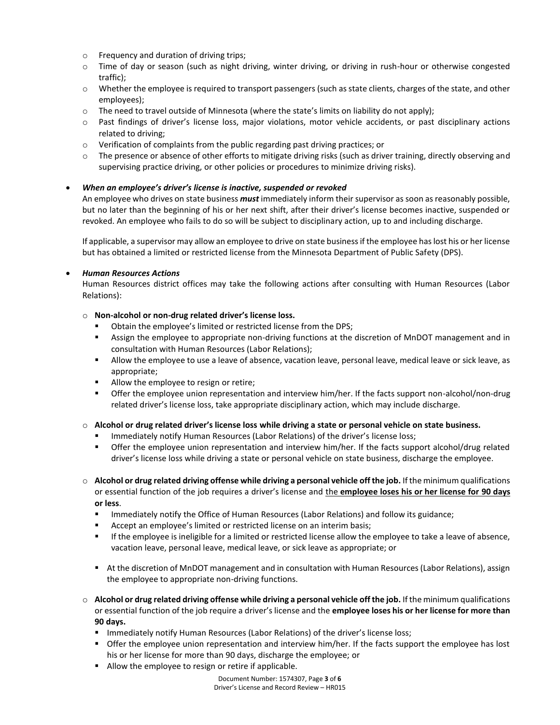- o Frequency and duration of driving trips;
- o Time of day or season (such as night driving, winter driving, or driving in rush-hour or otherwise congested traffic);
- $\circ$  Whether the employee is required to transport passengers (such as state clients, charges of the state, and other employees);
- $\circ$  The need to travel outside of Minnesota (where the state's limits on liability do not apply);
- o Past findings of driver's license loss, major violations, motor vehicle accidents, or past disciplinary actions related to driving;
- $\circ$  Verification of complaints from the public regarding past driving practices; or
- o The presence or absence of other efforts to mitigate driving risks (such as driver training, directly observing and supervising practice driving, or other policies or procedures to minimize driving risks).

#### *When an employee's driver's license is inactive, suspended or revoked*

An employee who drives on state business *must* immediately inform their supervisor as soon as reasonably possible, but no later than the beginning of his or her next shift, after their driver's license becomes inactive, suspended or revoked. An employee who fails to do so will be subject to disciplinary action, up to and including discharge.

If applicable, a supervisor may allow an employee to drive on state business if the employee has lost his or her license but has obtained a limited or restricted license from the Minnesota Department of Public Safety (DPS).

#### *Human Resources Actions*

Human Resources district offices may take the following actions after consulting with Human Resources (Labor Relations):

#### o **Non-alcohol or non-drug related driver's license loss.**

- Obtain the employee's limited or restricted license from the DPS;
- Assign the employee to appropriate non-driving functions at the discretion of MnDOT management and in consultation with Human Resources (Labor Relations);
- Allow the employee to use a leave of absence, vacation leave, personal leave, medical leave or sick leave, as appropriate;
- Allow the employee to resign or retire;
- Offer the employee union representation and interview him/her. If the facts support non-alcohol/non-drug related driver's license loss, take appropriate disciplinary action, which may include discharge.

#### o **Alcohol or drug related driver's license loss while driving a state or personal vehicle on state business.**

- Immediately notify Human Resources (Labor Relations) of the driver's license loss;
- Offer the employee union representation and interview him/her. If the facts support alcohol/drug related driver's license loss while driving a state or personal vehicle on state business, discharge the employee.
- o **Alcohol or drug related driving offense while driving a personal vehicle off the job.** If the minimum qualifications or essential function of the job requires a driver's license and the **employee loses his or her license for 90 days or less**.
	- **IMMED 19 Immediately notify the Office of Human Resources (Labor Relations) and follow its guidance;**
	- Accept an employee's limited or restricted license on an interim basis;
	- If the employee is ineligible for a limited or restricted license allow the employee to take a leave of absence, vacation leave, personal leave, medical leave, or sick leave as appropriate; or
	- At the discretion of MnDOT management and in consultation with Human Resources (Labor Relations), assign the employee to appropriate non-driving functions.
- o **Alcohol or drug related driving offense while driving a personal vehicle off the job.** If the minimum qualifications or essential function of the job require a driver's license and the **employee loses his or her license for more than 90 days.**
	- Immediately notify Human Resources (Labor Relations) of the driver's license loss;
	- Offer the employee union representation and interview him/her. If the facts support the employee has lost his or her license for more than 90 days, discharge the employee; or
	- Allow the employee to resign or retire if applicable.

Document Number: 1574307, Page **3** of **6** Driver's License and Record Review – HR015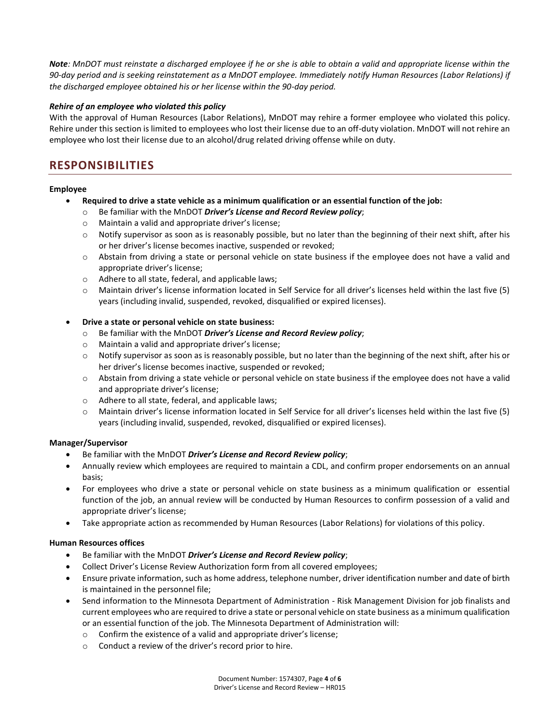*Note: MnDOT must reinstate a discharged employee if he or she is able to obtain a valid and appropriate license within the 90-day period and is seeking reinstatement as a MnDOT employee. Immediately notify Human Resources (Labor Relations) if the discharged employee obtained his or her license within the 90-day period.* 

#### *Rehire of an employee who violated this policy*

With the approval of Human Resources (Labor Relations), MnDOT may rehire a former employee who violated this policy. Rehire under this section is limited to employees who lost their license due to an off-duty violation. MnDOT will not rehire an employee who lost their license due to an alcohol/drug related driving offense while on duty.

## **RESPONSIBILITIES**

#### **Employee**

- **Required to drive a state vehicle as a minimum qualification or an essential function of the job:**
	- o Be familiar with the MnDOT *Driver's License and Record Review policy*;
	- o Maintain a valid and appropriate driver's license;
	- $\circ$  Notify supervisor as soon as is reasonably possible, but no later than the beginning of their next shift, after his or her driver's license becomes inactive, suspended or revoked;
	- o Abstain from driving a state or personal vehicle on state business if the employee does not have a valid and appropriate driver's license;
	- o Adhere to all state, federal, and applicable laws;
	- o Maintain driver's license information located in Self Service for all driver's licenses held within the last five (5) years (including invalid, suspended, revoked, disqualified or expired licenses).

#### **Drive a state or personal vehicle on state business:**

- o Be familiar with the MnDOT *Driver's License and Record Review policy*;
- o Maintain a valid and appropriate driver's license;
- o Notify supervisor as soon as is reasonably possible, but no later than the beginning of the next shift, after his or her driver's license becomes inactive, suspended or revoked;
- o Abstain from driving a state vehicle or personal vehicle on state business if the employee does not have a valid and appropriate driver's license;
- o Adhere to all state, federal, and applicable laws;
- o Maintain driver's license information located in Self Service for all driver's licenses held within the last five (5) years (including invalid, suspended, revoked, disqualified or expired licenses).

#### **Manager/Supervisor**

- Be familiar with the MnDOT *Driver's License and Record Review policy*;
- Annually review which employees are required to maintain a CDL, and confirm proper endorsements on an annual basis;
- For employees who drive a state or personal vehicle on state business as a minimum qualification or essential function of the job, an annual review will be conducted by Human Resources to confirm possession of a valid and appropriate driver's license;
- Take appropriate action as recommended by Human Resources (Labor Relations) for violations of this policy.

#### **Human Resources offices**

- Be familiar with the MnDOT *Driver's License and Record Review policy*;
- Collect Driver's License Review Authorization form from all covered employees;
- Ensure private information, such as home address, telephone number, driver identification number and date of birth is maintained in the personnel file;
- Send information to the Minnesota Department of Administration Risk Management Division for job finalists and current employees who are required to drive a state or personal vehicle on state business as a minimum qualification or an essential function of the job. The Minnesota Department of Administration will:
	- o Confirm the existence of a valid and appropriate driver's license;
	- o Conduct a review of the driver's record prior to hire.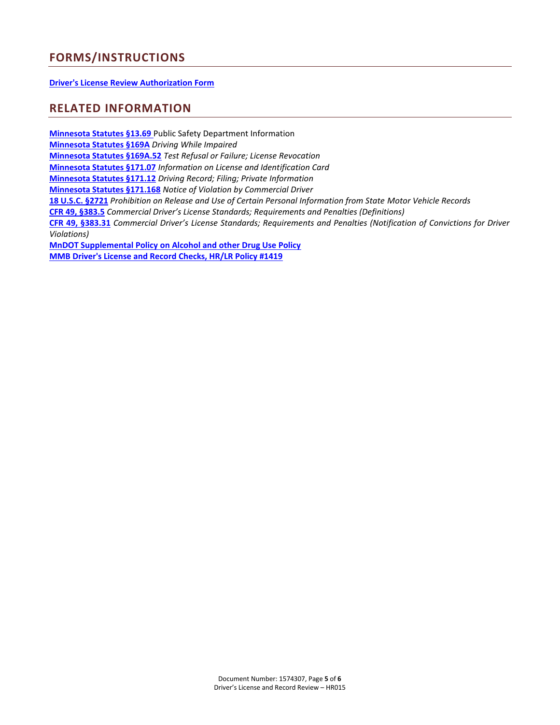# **FORMS/INSTRUCTIONS**

**[Driver's License Review Authorization Form](http://edocs/eDIGS/DMResultSet/download?docid=1614131)**

## **RELATED INFORMATION**

**[Minnesota Statutes §13.69](https://www.revisor.mn.gov/statutes/?id=169a)** Public Safety Department Information **[Minnesota Statutes §169A](https://www.revisor.mn.gov/statutes/?id=169a)** *Driving While Impaired*  **[Minnesota Statutes §169A.52](https://www.revisor.mn.gov/statutes/?id=169A.52)** *Test Refusal or Failure; License Revocation* **[Minnesota Statutes §171.07](https://www.revisor.mn.gov/statutes/?id=171.07)** *Information on License and Identification Card* **[Minnesota Statutes §171.12](https://www.revisor.mn.gov/statutes/?id=171.12)** *Driving Record; Filing; Private Information* **[Minnesota Statutes §171.168](https://www.revisor.leg.state.mn.us/statutes/?id=171.168)** *Notice of Violation by Commercial Driver* **[18 U.S.C. §2721](http://www.gpo.gov/fdsys/granule/USCODE-2011-title18/USCODE-2011-title18-partI-chap123-sec2721/content-detail.html)** *Prohibition on Release and Use of Certain Personal Information from State Motor Vehicle Records* **[CFR 49, §383.5](http://www.fmcsa.dot.gov/regulations/title49/section/383.5)** *Commercial Driver's License Standards; Requirements and Penalties (Definitions)* **[CFR 49, §383.31](http://www.fmcsa.dot.gov/regulations/title49/section/383.31)** *Commercial Driver's License Standards; Requirements and Penalties (Notification of Convictions for Driver Violations)* **[MnDOT Supplemental Policy on Alcohol and other Drug Use Policy](http://dotapp7.dot.state.mn.us/cyberdocs_guest/quickstart.asp?show=view:764492&noframes=yes) [MMB Driver's License and Record Checks, HR/LR Policy #1419](https://mn.gov/mmb/assets/dlrecord-check-1419_tcm1059-127209.pdf)**